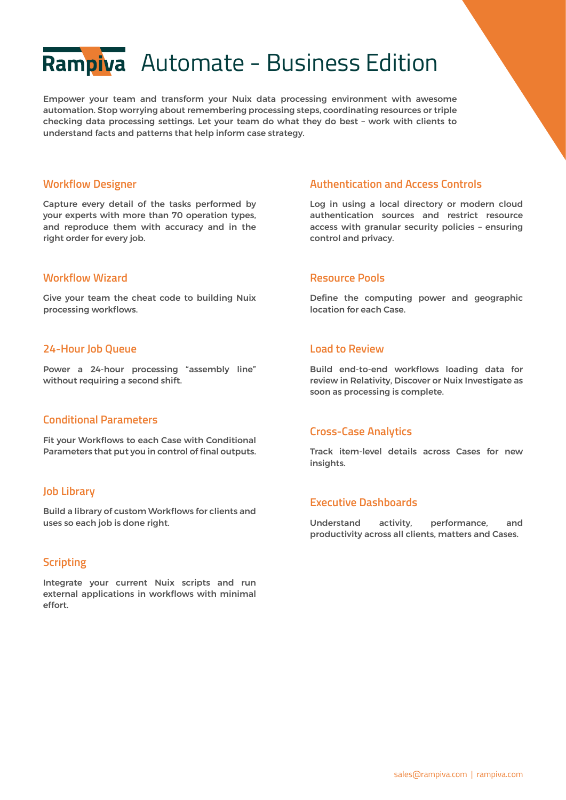# Rampiva Automate - Business Edition

Empower your team and transform your Nuix data processing environment with awesome automation. Stop worrying about remembering processing steps, coordinating resources or triple checking data processing settings. Let your team do what they do best – work with clients to understand facts and patterns that help inform case strategy.

#### **Workflow Designer**

Capture every detail of the tasks performed by your experts with more than 70 operation types, and reproduce them with accuracy and in the right order for every job.

### **Workflow Wizard**

Give your team the cheat code to building Nuix processing workflows.

# **24-Hour Job Queue**

Power a 24-hour processing "assembly line" without requiring a second shift.

# **Conditional Parameters**

Fit your Workflows to each Case with Conditional Parameters that put you in control of final outputs.

# **Job Library**

Build a library of custom Workflows for clients and uses so each job is done right.

# **Scripting**

Integrate your current Nuix scripts and run external applications in workflows with minimal effort.

# **Authentication and Access Controls**

Log in using a local directory or modern cloud authentication sources and restrict resource access with granular security policies – ensuring control and privacy.

#### **Resource Pools**

Define the computing power and geographic location for each Case.

### **Load to Review**

Build end-to-end workflows loading data for review in Relativity, Discover or Nuix Investigate as soon as processing is complete.

# **Cross-Case Analytics**

Track item-level details across Cases for new insights.

#### **Executive Dashboards**

Understand activity, performance, and productivity across all clients, matters and Cases.